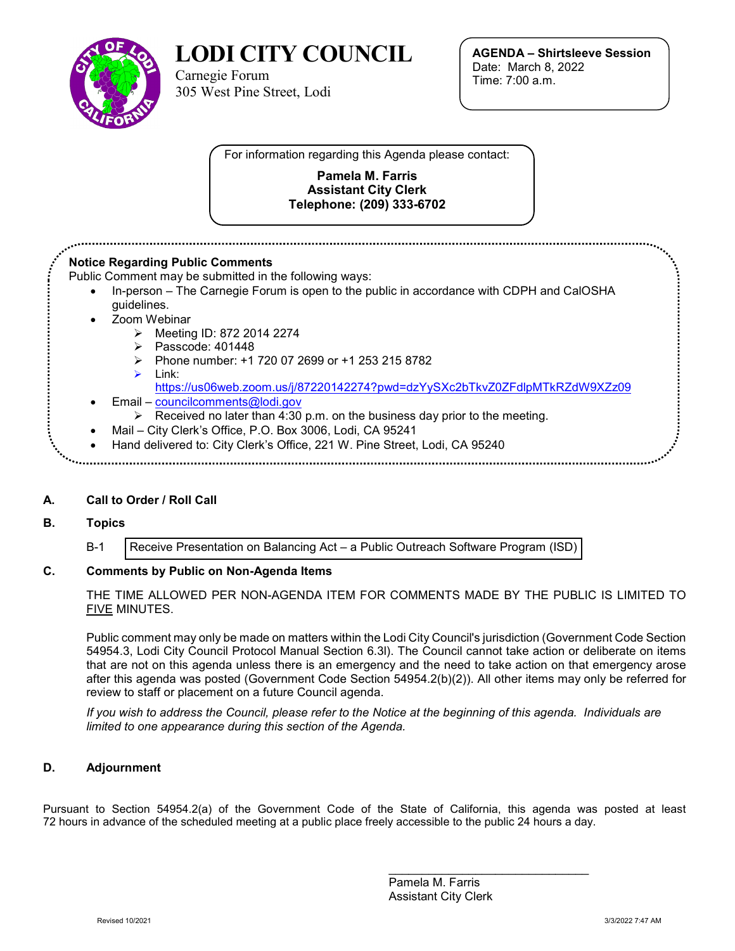

**LODI CITY COUNCIL**

Carnegie Forum 305 West Pine Street, Lodi **AGENDA – Shirtsleeve Session** Date: March 8, 2022 Time: 7:00 a.m.

For information regarding this Agenda please contact:

#### **Pamela M. Farris Assistant City Clerk Telephone: (209) 333-6702**

### **Notice Regarding Public Comments** Public Comment may be submitted in the following ways: • In-person – The Carnegie Forum is open to the public in accordance with CDPH and CalOSHA guidelines. Zoom Webinar Meeting ID: 872 2014 2274  $\triangleright$  Passcode: 401448  $\triangleright$  Phone number: +1 720 07 2699 or +1 253 215 8782  $\triangleright$  link: <https://us06web.zoom.us/j/87220142274?pwd=dzYySXc2bTkvZ0ZFdlpMTkRZdW9XZz09> • Email – [councilcomments@lodi.gov](mailto:councilcomments@lodi.gov)  $\triangleright$  Received no later than 4:30 p.m. on the business day prior to the meeting. • Mail – City Clerk's Office, P.O. Box 3006, Lodi, CA 95241 • Hand delivered to: City Clerk's Office, 221 W. Pine Street, Lodi, CA 95240

## **A. Call to Order / Roll Call**

### **B. Topics**

B-1 [Receive Presentation on Balancing Act –](#page-2-0) a Public Outreach Software Program (ISD)

### **C. Comments by Public on Non-Agenda Items**

THE TIME ALLOWED PER NON-AGENDA ITEM FOR COMMENTS MADE BY THE PUBLIC IS LIMITED TO FIVE MINUTES.

Public comment may only be made on matters within the Lodi City Council's jurisdiction (Government Code Section 54954.3, Lodi City Council Protocol Manual Section 6.3l). The Council cannot take action or deliberate on items that are not on this agenda unless there is an emergency and the need to take action on that emergency arose after this agenda was posted (Government Code Section 54954.2(b)(2)). All other items may only be referred for review to staff or placement on a future Council agenda.

*If you wish to address the Council, please refer to the Notice at the beginning of this agenda. Individuals are limited to one appearance during this section of the Agenda.*

### **D. Adjournment**

Pursuant to Section 54954.2(a) of the Government Code of the State of California, this agenda was posted at least 72 hours in advance of the scheduled meeting at a public place freely accessible to the public 24 hours a day.

> \_\_\_\_\_\_\_\_\_\_\_\_\_\_\_\_\_\_\_\_\_\_\_\_\_\_\_\_\_\_ Pamela M. Farris Assistant City Clerk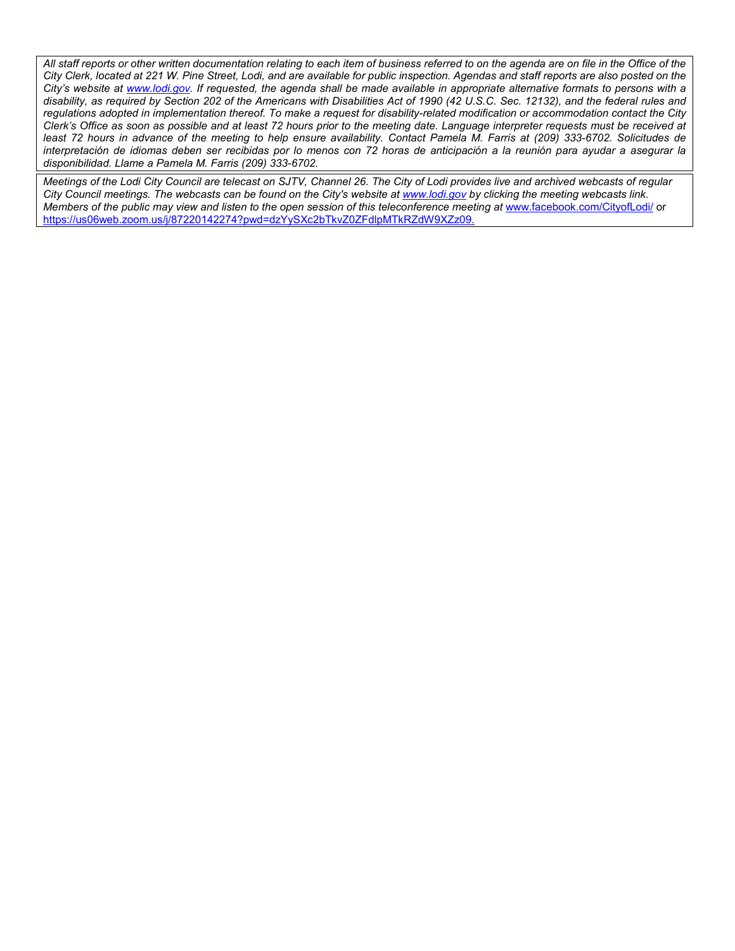*All staff reports or other written documentation relating to each item of business referred to on the agenda are on file in the Office of the City Clerk, located at 221 W. Pine Street, Lodi, and are available for public inspection. Agendas and staff reports are also posted on the City's website at [www.lodi.gov.](http://www.lodi.gov/) If requested, the agenda shall be made available in appropriate alternative formats to persons with a disability, as required by Section 202 of the Americans with Disabilities Act of 1990 (42 U.S.C. Sec. 12132), and the federal rules and regulations adopted in implementation thereof. To make a request for disability-related modification or accommodation contact the City Clerk's Office as soon as possible and at least 72 hours prior to the meeting date. Language interpreter requests must be received at least 72 hours in advance of the meeting to help ensure availability. Contact Pamela M. Farris at (209) 333-6702. Solicitudes de interpretación de idiomas deben ser recibidas por lo menos con 72 horas de anticipación a la reunión para ayudar a asegurar la disponibilidad. Llame a Pamela M. Farris (209) 333-6702.*

*Meetings of the Lodi City Council are telecast on SJTV, Channel 26. The City of Lodi provides live and archived webcasts of regular City Council meetings. The webcasts can be found on the City's website at [www.lodi.gov](http://www.lodi.gov/) by clicking the meeting webcasts link. Members of the public may view and listen to the open session of this teleconference meeting at* [www.facebook.com/CityofLodi/](http://www.facebook.com/CityofLodi/) or [https://us06web.zoom.us/j/87220142274?pwd=dzYySXc2bTkvZ0ZFdlpMTkRZdW9XZz09.](https://us06web.zoom.us/j/87220142274?pwd=dzYySXc2bTkvZ0ZFdlpMTkRZdW9XZz09)